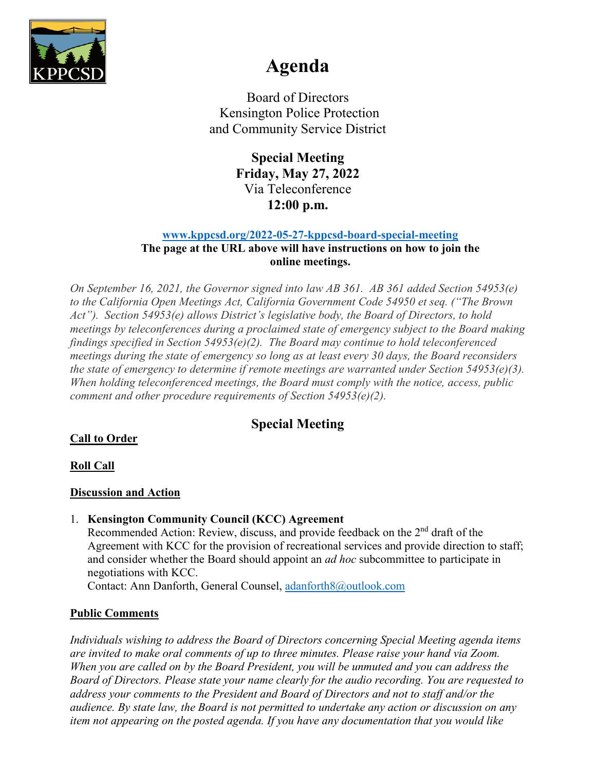

# **Agenda**

Board of Directors Kensington Police Protection and Community Service District

> **Special Meeting Friday, May 27, 2022** Via Teleconference **12:00 p.m.**

#### **[www.kppcsd.org/2022-05-27-kppcsd-board-special-meeting](http://www.kppcsd.org/2022-05-27-kppcsd-board-special-meeting)**

#### **The page at the URL above will have instructions on how to join the online meetings.**

*On September 16, 2021, the Governor signed into law AB 361. AB 361 added Section 54953(e) to the California Open Meetings Act, California Government Code 54950 et seq. ("The Brown Act"). Section 54953(e) allows District's legislative body, the Board of Directors, to hold meetings by teleconferences during a proclaimed state of emergency subject to the Board making findings specified in Section 54953(e)(2). The Board may continue to hold teleconferenced meetings during the state of emergency so long as at least every 30 days, the Board reconsiders the state of emergency to determine if remote meetings are warranted under Section 54953(e)(3). When holding teleconferenced meetings, the Board must comply with the notice, access, public comment and other procedure requirements of Section 54953(e)(2).*

## **Special Meeting**

## **Call to Order**

## **Roll Call**

## **Discussion and Action**

#### 1. **Kensington Community Council (KCC) Agreement**

Recommended Action: Review, discuss, and provide feedback on the  $2<sup>nd</sup>$  draft of the Agreement with KCC for the provision of recreational services and provide direction to staff; and consider whether the Board should appoint an *ad hoc* subcommittee to participate in negotiations with KCC.

Contact: Ann Danforth, General Counsel, [adanforth8@outlook.com](mailto:adanforth8@outlook.com)

## **Public Comments**

*Individuals wishing to address the Board of Directors concerning Special Meeting agenda items are invited to make oral comments of up to three minutes. Please raise your hand via Zoom. When you are called on by the Board President, you will be unmuted and you can address the Board of Directors. Please state your name clearly for the audio recording. You are requested to address your comments to the President and Board of Directors and not to staff and/or the audience. By state law, the Board is not permitted to undertake any action or discussion on any item not appearing on the posted agenda. If you have any documentation that you would like*